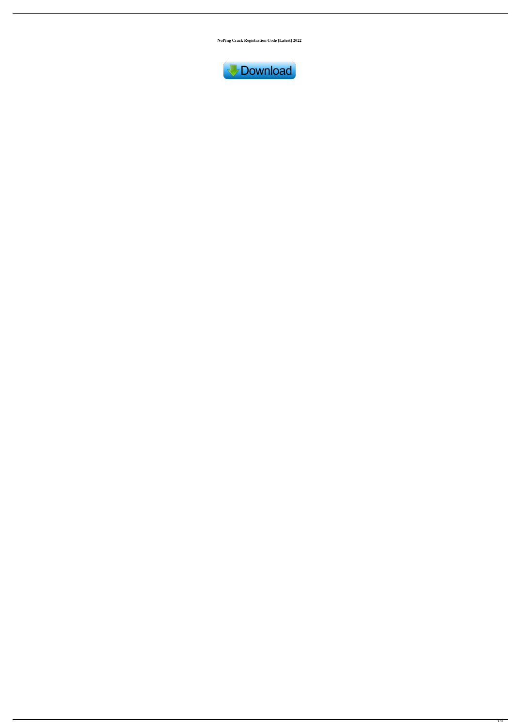**NoPing Crack Registration Code [Latest] 2022**

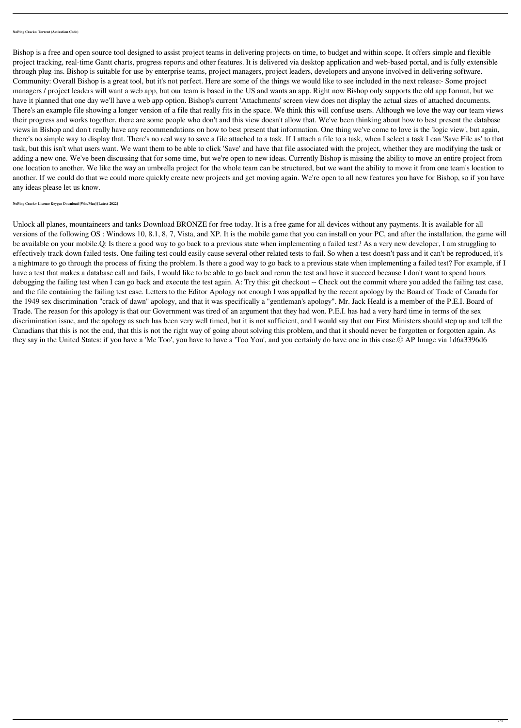**NoPing Crack+ Torrent (Activation Code)**

Bishop is a free and open source tool designed to assist project teams in delivering projects on time, to budget and within scope. It offers simple and flexible project tracking, real-time Gantt charts, progress reports and other features. It is delivered via desktop application and web-based portal, and is fully extensible through plug-ins. Bishop is suitable for use by enterprise teams, project managers, project leaders, developers and anyone involved in delivering software. Community: Overall Bishop is a great tool, but it's not perfect. Here are some of the things we would like to see included in the next release:- Some project managers / project leaders will want a web app, but our team is based in the US and wants an app. Right now Bishop only supports the old app format, but we have it planned that one day we'll have a web app option. Bishop's current 'Attachments' screen view does not display the actual sizes of attached documents. There's an example file showing a longer version of a file that really fits in the space. We think this will confuse users. Although we love the way our team views their progress and works together, there are some people who don't and this view doesn't allow that. We've been thinking about how to best present the database views in Bishop and don't really have any recommendations on how to best present that information. One thing we've come to love is the 'logic view', but again, there's no simple way to display that. There's no real way to save a file attached to a task. If I attach a file to a task, when I select a task I can 'Save File as' to that task, but this isn't what users want. We want them to be able to click 'Save' and have that file associated with the project, whether they are modifying the task or adding a new one. We've been discussing that for some time, but we're open to new ideas. Currently Bishop is missing the ability to move an entire project from one location to another. We like the way an umbrella project for the whole team can be structured, but we want the ability to move it from one team's location to another. If we could do that we could more quickly create new projects and get moving again. We're open to all new features you have for Bishop, so if you have any ideas please let us know.

**NoPing Crack+ License Keygen Download [Win/Mac] [Latest-2022]**

Unlock all planes, mountaineers and tanks Download BRONZE for free today. It is a free game for all devices without any payments. It is available for all versions of the following OS : Windows 10, 8.1, 8, 7, Vista, and XP. It is the mobile game that you can install on your PC, and after the installation, the game will be available on your mobile.Q: Is there a good way to go back to a previous state when implementing a failed test? As a very new developer, I am struggling to effectively track down failed tests. One failing test could easily cause several other related tests to fail. So when a test doesn't pass and it can't be reproduced, it's a nightmare to go through the process of fixing the problem. Is there a good way to go back to a previous state when implementing a failed test? For example, if I have a test that makes a database call and fails, I would like to be able to go back and rerun the test and have it succeed because I don't want to spend hours debugging the failing test when I can go back and execute the test again. A: Try this: git checkout -- Check out the commit where you added the failing test case, and the file containing the failing test case. Letters to the Editor Apology not enough I was appalled by the recent apology by the Board of Trade of Canada for the 1949 sex discrimination "crack of dawn" apology, and that it was specifically a "gentleman's apology". Mr. Jack Heald is a member of the P.E.I. Board of Trade. The reason for this apology is that our Government was tired of an argument that they had won. P.E.I. has had a very hard time in terms of the sex discrimination issue, and the apology as such has been very well timed, but it is not sufficient, and I would say that our First Ministers should step up and tell the Canadians that this is not the end, that this is not the right way of going about solving this problem, and that it should never be forgotten or forgotten again. As they say in the United States: if you have a 'Me Too', you have to have a 'Too You', and you certainly do have one in this case.© AP Image via 1d6a3396d6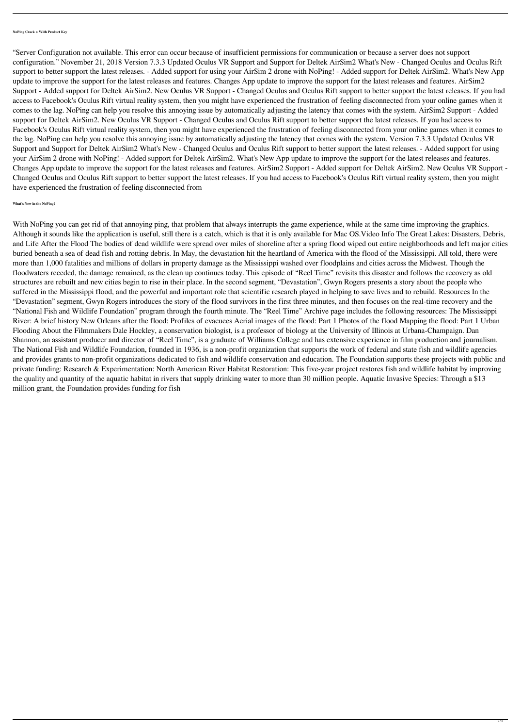## **NoPing Crack + With Product Key**

"Server Configuration not available. This error can occur because of insufficient permissions for communication or because a server does not support configuration." November 21, 2018 Version 7.3.3 Updated Oculus VR Support and Support for Deltek AirSim2 What's New - Changed Oculus and Oculus Rift support to better support the latest releases. - Added support for using your AirSim 2 drone with NoPing! - Added support for Deltek AirSim2. What's New App update to improve the support for the latest releases and features. Changes App update to improve the support for the latest releases and features. AirSim2 Support - Added support for Deltek AirSim2. New Oculus VR Support - Changed Oculus and Oculus Rift support to better support the latest releases. If you had access to Facebook's Oculus Rift virtual reality system, then you might have experienced the frustration of feeling disconnected from your online games when it comes to the lag. NoPing can help you resolve this annoying issue by automatically adjusting the latency that comes with the system. AirSim2 Support - Added support for Deltek AirSim2. New Oculus VR Support - Changed Oculus and Oculus Rift support to better support the latest releases. If you had access to Facebook's Oculus Rift virtual reality system, then you might have experienced the frustration of feeling disconnected from your online games when it comes to the lag. NoPing can help you resolve this annoying issue by automatically adjusting the latency that comes with the system. Version 7.3.3 Updated Oculus VR Support and Support for Deltek AirSim2 What's New - Changed Oculus and Oculus Rift support to better support the latest releases. - Added support for using your AirSim 2 drone with NoPing! - Added support for Deltek AirSim2. What's New App update to improve the support for the latest releases and features. Changes App update to improve the support for the latest releases and features. AirSim2 Support - Added support for Deltek AirSim2. New Oculus VR Support - Changed Oculus and Oculus Rift support to better support the latest releases. If you had access to Facebook's Oculus Rift virtual reality system, then you might have experienced the frustration of feeling disconnected from

## **What's New in the NoPing?**

With NoPing you can get rid of that annoying ping, that problem that always interrupts the game experience, while at the same time improving the graphics. Although it sounds like the application is useful, still there is a catch, which is that it is only available for Mac OS.Video Info The Great Lakes: Disasters, Debris, and Life After the Flood The bodies of dead wildlife were spread over miles of shoreline after a spring flood wiped out entire neighborhoods and left major cities buried beneath a sea of dead fish and rotting debris. In May, the devastation hit the heartland of America with the flood of the Mississippi. All told, there were more than 1,000 fatalities and millions of dollars in property damage as the Mississippi washed over floodplains and cities across the Midwest. Though the floodwaters receded, the damage remained, as the clean up continues today. This episode of "Reel Time" revisits this disaster and follows the recovery as old structures are rebuilt and new cities begin to rise in their place. In the second segment, "Devastation", Gwyn Rogers presents a story about the people who suffered in the Mississippi flood, and the powerful and important role that scientific research played in helping to save lives and to rebuild. Resources In the "Devastation" segment, Gwyn Rogers introduces the story of the flood survivors in the first three minutes, and then focuses on the real-time recovery and the "National Fish and Wildlife Foundation" program through the fourth minute. The "Reel Time" Archive page includes the following resources: The Mississippi River: A brief history New Orleans after the flood: Profiles of evacuees Aerial images of the flood: Part 1 Photos of the flood Mapping the flood: Part 1 Urban Flooding About the Filmmakers Dale Hockley, a conservation biologist, is a professor of biology at the University of Illinois at Urbana-Champaign. Dan Shannon, an assistant producer and director of "Reel Time", is a graduate of Williams College and has extensive experience in film production and journalism. The National Fish and Wildlife Foundation, founded in 1936, is a non-profit organization that supports the work of federal and state fish and wildlife agencies and provides grants to non-profit organizations dedicated to fish and wildlife conservation and education. The Foundation supports these projects with public and private funding: Research & Experimentation: North American River Habitat Restoration: This five-year project restores fish and wildlife habitat by improving the quality and quantity of the aquatic habitat in rivers that supply drinking water to more than 30 million people. Aquatic Invasive Species: Through a \$13 million grant, the Foundation provides funding for fish